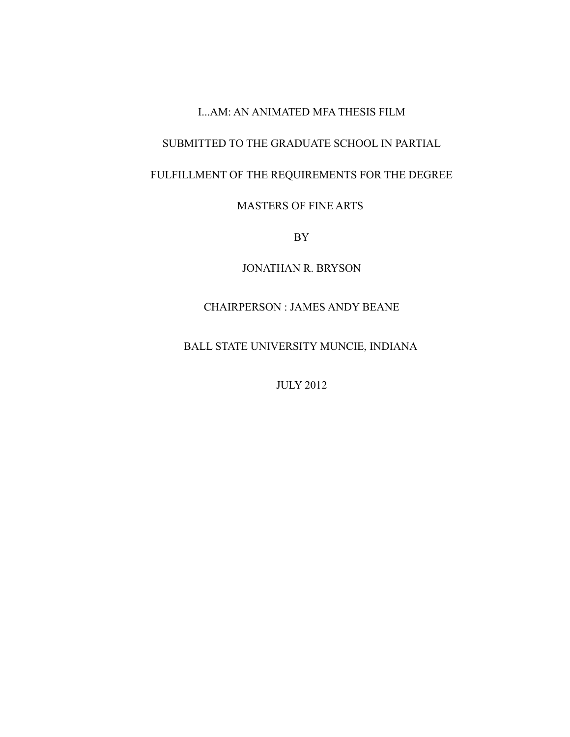### I...AM: AN ANIMATED MFA THESIS FILM

## SUBMITTED TO THE GRADUATE SCHOOL IN PARTIAL

# FULFILLMENT OF THE REQUIREMENTS FOR THE DEGREE

# MASTERS OF FINE ARTS

BY

JONATHAN R. BRYSON

# CHAIRPERSON : JAMES ANDY BEANE

BALL STATE UNIVERSITY MUNCIE, INDIANA

JULY 2012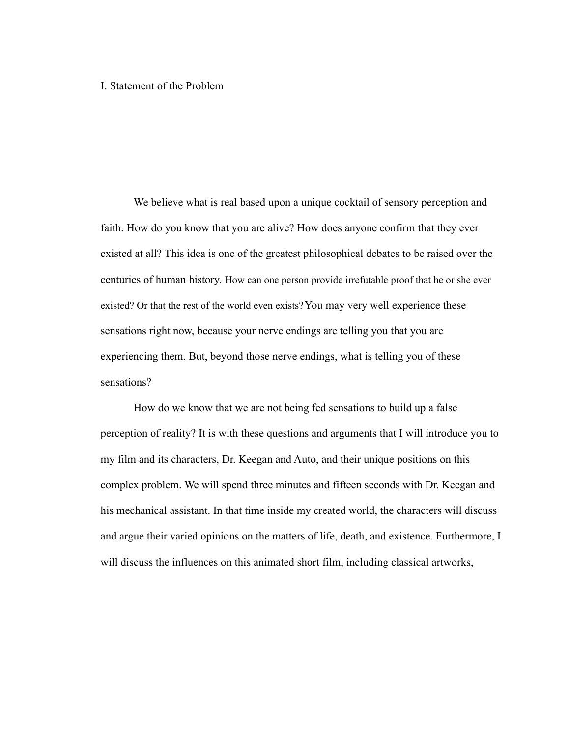### I. Statement of the Problem

We believe what is real based upon a unique cocktail of sensory perception and faith. How do you know that you are alive? How does anyone confirm that they ever existed at all? This idea is one of the greatest philosophical debates to be raised over the centuries of human history. How can one person provide irrefutable proof that he or she ever existed? Or that the rest of the world even exists?You may very well experience these sensations right now, because your nerve endings are telling you that you are experiencing them. But, beyond those nerve endings, what is telling you of these sensations?

How do we know that we are not being fed sensations to build up a false perception of reality? It is with these questions and arguments that I will introduce you to my film and its characters, Dr. Keegan and Auto, and their unique positions on this complex problem. We will spend three minutes and fifteen seconds with Dr. Keegan and his mechanical assistant. In that time inside my created world, the characters will discuss and argue their varied opinions on the matters of life, death, and existence. Furthermore, I will discuss the influences on this animated short film, including classical artworks,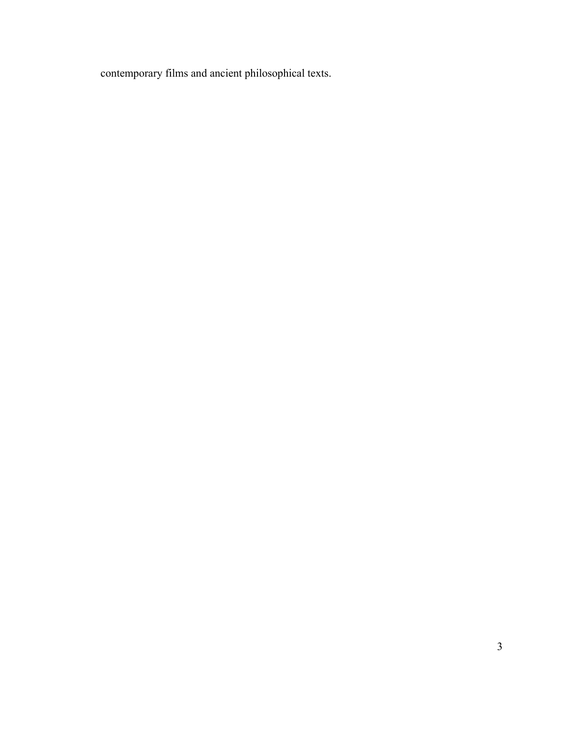contemporary films and ancient philosophical texts.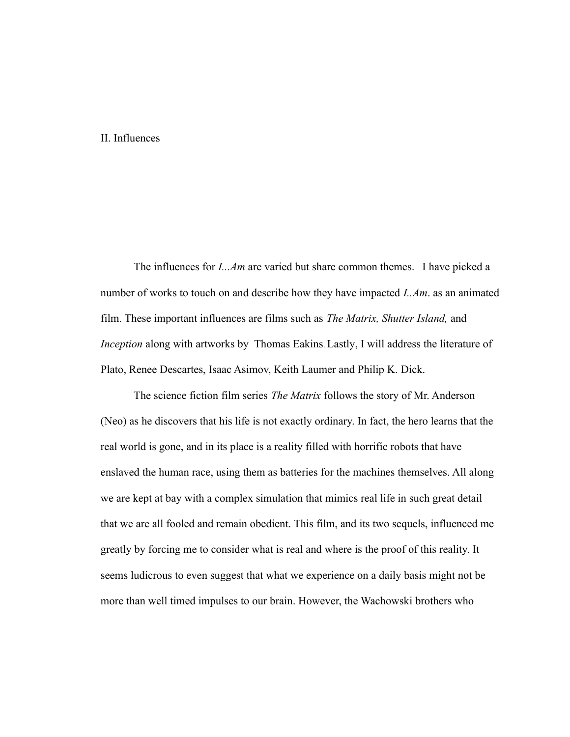## II. Influences

The influences for *I...Am* are varied but share common themes. I have picked a number of works to touch on and describe how they have impacted *I..Am*. as an animated film. These important influences are films such as *The Matrix, Shutter Island,* and *Inception* along with artworks by Thomas Eakins. Lastly, I will address the literature of Plato, Renee Descartes, Isaac Asimov, Keith Laumer and Philip K. Dick.

The science fiction film series *The Matrix* follows the story of Mr. Anderson (Neo) as he discovers that his life is not exactly ordinary. In fact, the hero learns that the real world is gone, and in its place is a reality filled with horrific robots that have enslaved the human race, using them as batteries for the machines themselves. All along we are kept at bay with a complex simulation that mimics real life in such great detail that we are all fooled and remain obedient. This film, and its two sequels, influenced me greatly by forcing me to consider what is real and where is the proof of this reality. It seems ludicrous to even suggest that what we experience on a daily basis might not be more than well timed impulses to our brain. However, the Wachowski brothers who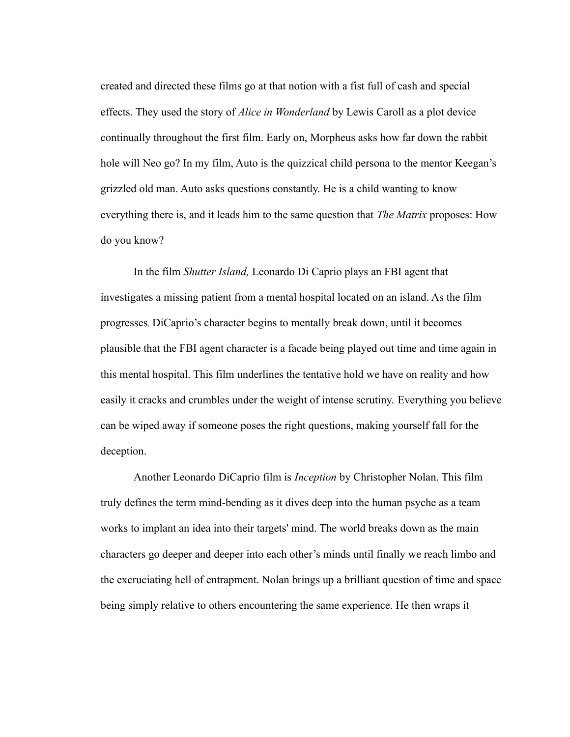created and directed these films go at that notion with a fist full of cash and special effects. They used the story of *Alice in Wonderland* by Lewis Caroll as a plot device continually throughout the first film. Early on, Morpheus asks how far down the rabbit hole will Neo go? In my film, Auto is the quizzical child persona to the mentor Keegan's grizzled old man. Auto asks questions constantly. He is a child wanting to know everything there is, and it leads him to the same question that *The Matrix* proposes: How do you know?

In the film *Shutter Island,* Leonardo Di Caprio plays an FBI agent that investigates a missing patient from a mental hospital located on an island. As the film progresses, DiCaprio's character begins to mentally break down, until it becomes plausible that the FBI agent character is a facade being played out time and time again in this mental hospital. This film underlines the tentative hold we have on reality and how easily it cracks and crumbles under the weight of intense scrutiny. Everything you believe can be wiped away if someone poses the right questions, making yourself fall for the deception.

Another Leonardo DiCaprio film is *Inception* by Christopher Nolan. This film truly defines the term mind-bending as it dives deep into the human psyche as a team works to implant an idea into their targets' mind. The world breaks down as the main characters go deeper and deeper into each other's minds until finally we reach limbo and the excruciating hell of entrapment. Nolan brings up a brilliant question of time and space being simply relative to others encountering the same experience. He then wraps it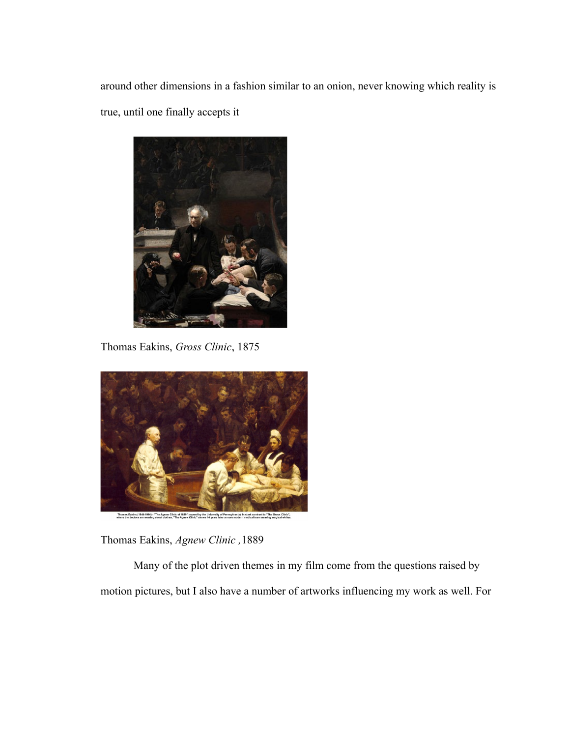around other dimensions in a fashion similar to an onion, never knowing which reality is true, until one finally accepts it



Thomas Eakins, *Gross Clinic*, 1875



Thomas Eakins, *Agnew Clinic ,*1889

Many of the plot driven themes in my film come from the questions raised by motion pictures, but I also have a number of artworks influencing my work as well. For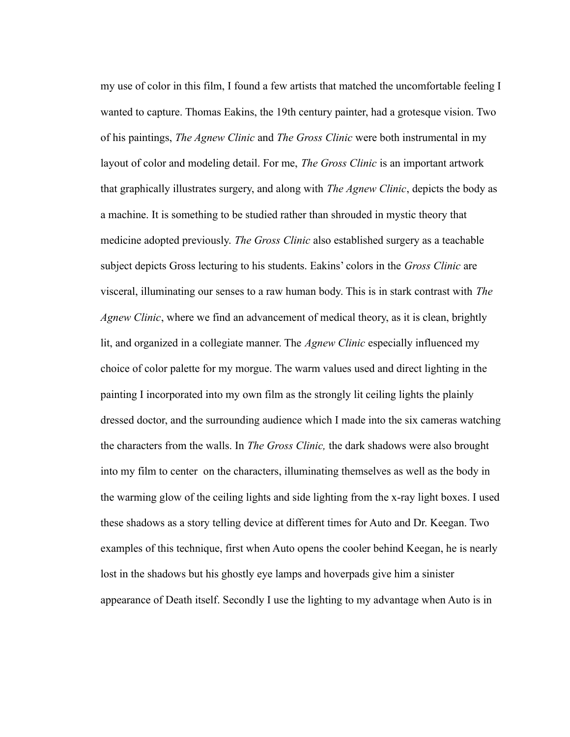my use of color in this film, I found a few artists that matched the uncomfortable feeling I wanted to capture. Thomas Eakins, the 19th century painter, had a grotesque vision. Two of his paintings, *The Agnew Clinic* and *The Gross Clinic* were both instrumental in my layout of color and modeling detail. For me, *The Gross Clinic* is an important artwork that graphically illustrates surgery, and along with *The Agnew Clinic*, depicts the body as a machine. It is something to be studied rather than shrouded in mystic theory that medicine adopted previously. *The Gross Clinic* also established surgery as a teachable subject depicts Gross lecturing to his students. Eakins' colors in the *Gross Clinic* are visceral, illuminating our senses to a raw human body. This is in stark contrast with *The Agnew Clinic*, where we find an advancement of medical theory, as it is clean, brightly lit, and organized in a collegiate manner. The *Agnew Clinic* especially influenced my choice of color palette for my morgue. The warm values used and direct lighting in the painting I incorporated into my own film as the strongly lit ceiling lights the plainly dressed doctor, and the surrounding audience which I made into the six cameras watching the characters from the walls. In *The Gross Clinic,* the dark shadows were also brought into my film to center on the characters, illuminating themselves as well as the body in the warming glow of the ceiling lights and side lighting from the x-ray light boxes. I used these shadows as a story telling device at different times for Auto and Dr. Keegan. Two examples of this technique, first when Auto opens the cooler behind Keegan, he is nearly lost in the shadows but his ghostly eye lamps and hoverpads give him a sinister appearance of Death itself. Secondly I use the lighting to my advantage when Auto is in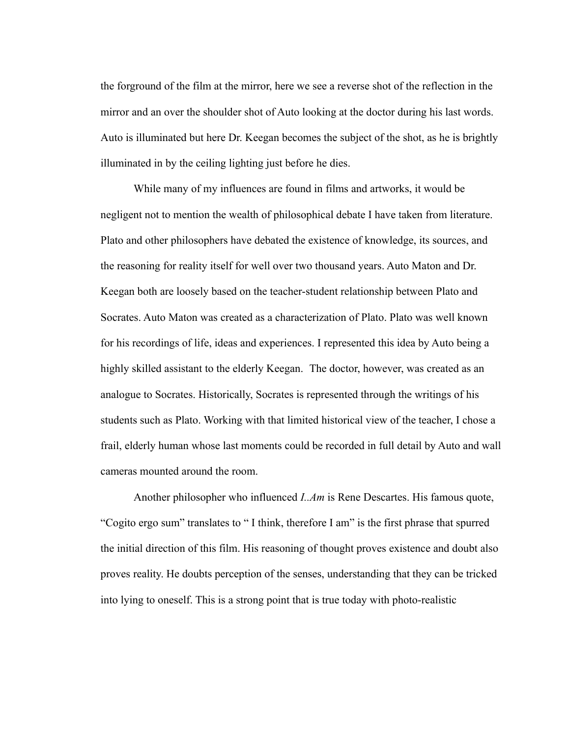the forground of the film at the mirror, here we see a reverse shot of the reflection in the mirror and an over the shoulder shot of Auto looking at the doctor during his last words. Auto is illuminated but here Dr. Keegan becomes the subject of the shot, as he is brightly illuminated in by the ceiling lighting just before he dies.

While many of my influences are found in films and artworks, it would be negligent not to mention the wealth of philosophical debate I have taken from literature. Plato and other philosophers have debated the existence of knowledge, its sources, and the reasoning for reality itself for well over two thousand years. Auto Maton and Dr. Keegan both are loosely based on the teacher-student relationship between Plato and Socrates. Auto Maton was created as a characterization of Plato. Plato was well known for his recordings of life, ideas and experiences. I represented this idea by Auto being a highly skilled assistant to the elderly Keegan. The doctor, however, was created as an analogue to Socrates. Historically, Socrates is represented through the writings of his students such as Plato. Working with that limited historical view of the teacher, I chose a frail, elderly human whose last moments could be recorded in full detail by Auto and wall cameras mounted around the room.

Another philosopher who influenced *I..Am* is Rene Descartes. His famous quote, "Cogito ergo sum" translates to " I think, therefore I am" is the first phrase that spurred the initial direction of this film. His reasoning of thought proves existence and doubt also proves reality. He doubts perception of the senses, understanding that they can be tricked into lying to oneself. This is a strong point that is true today with photo-realistic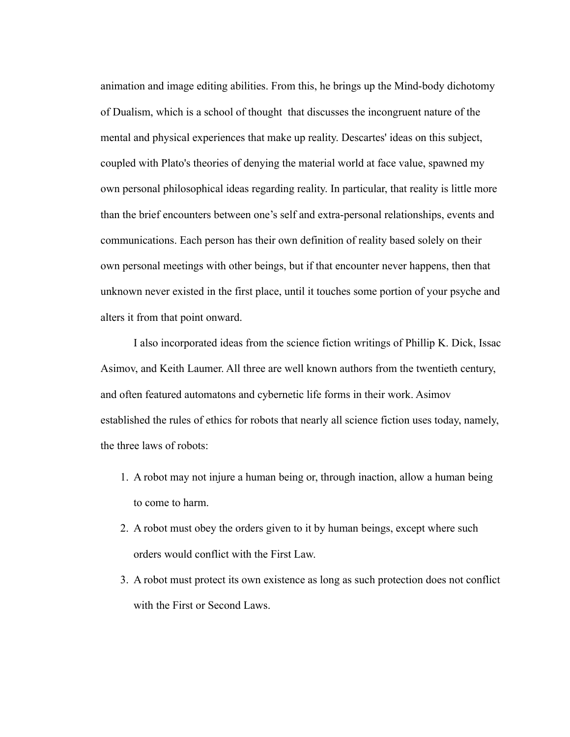animation and image editing abilities. From this, he brings up the Mind-body dichotomy of Dualism, which is a school of thought that discusses the incongruent nature of the mental and physical experiences that make up reality. Descartes' ideas on this subject, coupled with Plato's theories of denying the material world at face value, spawned my own personal philosophical ideas regarding reality. In particular, that reality is little more than the brief encounters between one's self and extra-personal relationships, events and communications. Each person has their own definition of reality based solely on their own personal meetings with other beings, but if that encounter never happens, then that unknown never existed in the first place, until it touches some portion of your psyche and alters it from that point onward.

I also incorporated ideas from the science fiction writings of Phillip K. Dick, Issac Asimov, and Keith Laumer. All three are well known authors from the twentieth century, and often featured automatons and cybernetic life forms in their work. Asimov established the rules of ethics for robots that nearly all science fiction uses today, namely, the three laws of robots:

- 1. A robot may not injure a human being or, through inaction, allow a human being to come to harm.
- 2. A robot must obey the orders given to it by human beings, except where such orders would conflict with the First Law.
- 3. A robot must protect its own existence as long as such protection does not conflict with the First or Second Laws.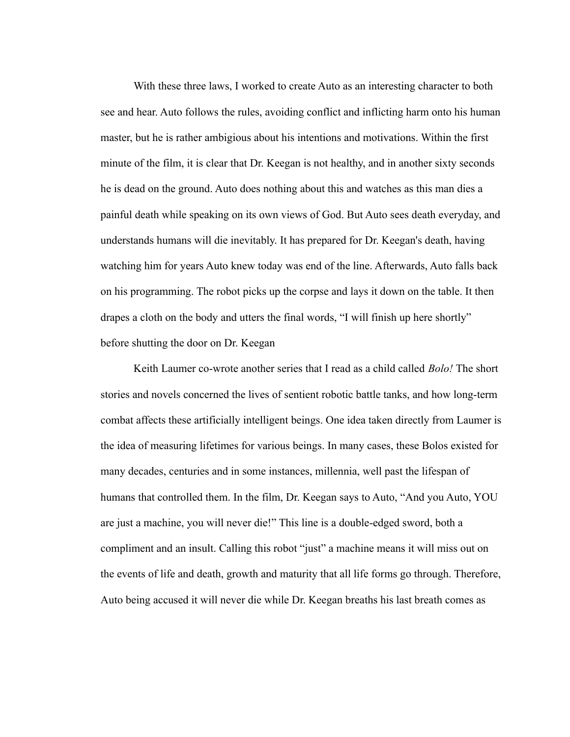With these three laws, I worked to create Auto as an interesting character to both see and hear. Auto follows the rules, avoiding conflict and inflicting harm onto his human master, but he is rather ambigious about his intentions and motivations. Within the first minute of the film, it is clear that Dr. Keegan is not healthy, and in another sixty seconds he is dead on the ground. Auto does nothing about this and watches as this man dies a painful death while speaking on its own views of God. But Auto sees death everyday, and understands humans will die inevitably. It has prepared for Dr. Keegan's death, having watching him for years Auto knew today was end of the line. Afterwards, Auto falls back on his programming. The robot picks up the corpse and lays it down on the table. It then drapes a cloth on the body and utters the final words, "I will finish up here shortly" before shutting the door on Dr. Keegan

Keith Laumer co-wrote another series that I read as a child called *Bolo!* The short stories and novels concerned the lives of sentient robotic battle tanks, and how long-term combat affects these artificially intelligent beings. One idea taken directly from Laumer is the idea of measuring lifetimes for various beings. In many cases, these Bolos existed for many decades, centuries and in some instances, millennia, well past the lifespan of humans that controlled them. In the film, Dr. Keegan says to Auto, "And you Auto, YOU are just a machine, you will never die!" This line is a double-edged sword, both a compliment and an insult. Calling this robot "just" a machine means it will miss out on the events of life and death, growth and maturity that all life forms go through. Therefore, Auto being accused it will never die while Dr. Keegan breaths his last breath comes as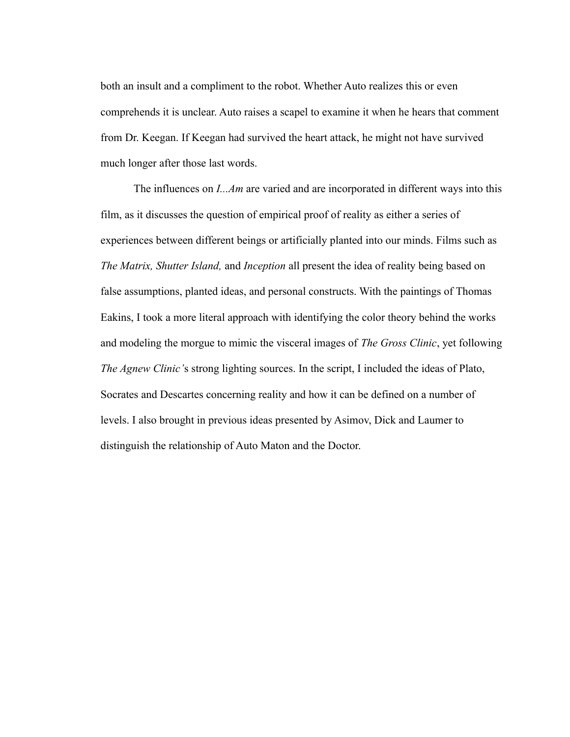both an insult and a compliment to the robot. Whether Auto realizes this or even comprehends it is unclear. Auto raises a scapel to examine it when he hears that comment from Dr. Keegan. If Keegan had survived the heart attack, he might not have survived much longer after those last words.

The influences on *I...Am* are varied and are incorporated in different ways into this film, as it discusses the question of empirical proof of reality as either a series of experiences between different beings or artificially planted into our minds. Films such as *The Matrix, Shutter Island,* and *Inception* all present the idea of reality being based on false assumptions, planted ideas, and personal constructs. With the paintings of Thomas Eakins, I took a more literal approach with identifying the color theory behind the works and modeling the morgue to mimic the visceral images of *The Gross Clinic*, yet following *The Agnew Clinic'*s strong lighting sources. In the script, I included the ideas of Plato, Socrates and Descartes concerning reality and how it can be defined on a number of levels. I also brought in previous ideas presented by Asimov, Dick and Laumer to distinguish the relationship of Auto Maton and the Doctor.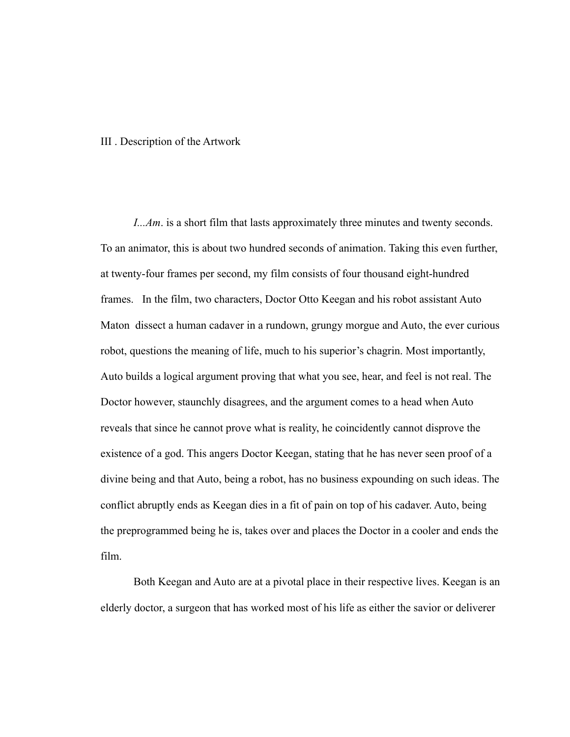#### III . Description of the Artwork

*I...Am*. is a short film that lasts approximately three minutes and twenty seconds. To an animator, this is about two hundred seconds of animation. Taking this even further, at twenty-four frames per second, my film consists of four thousand eight-hundred frames. In the film, two characters, Doctor Otto Keegan and his robot assistant Auto Maton dissect a human cadaver in a rundown, grungy morgue and Auto, the ever curious robot, questions the meaning of life, much to his superior's chagrin. Most importantly, Auto builds a logical argument proving that what you see, hear, and feel is not real. The Doctor however, staunchly disagrees, and the argument comes to a head when Auto reveals that since he cannot prove what is reality, he coincidently cannot disprove the existence of a god. This angers Doctor Keegan, stating that he has never seen proof of a divine being and that Auto, being a robot, has no business expounding on such ideas. The conflict abruptly ends as Keegan dies in a fit of pain on top of his cadaver. Auto, being the preprogrammed being he is, takes over and places the Doctor in a cooler and ends the film.

Both Keegan and Auto are at a pivotal place in their respective lives. Keegan is an elderly doctor, a surgeon that has worked most of his life as either the savior or deliverer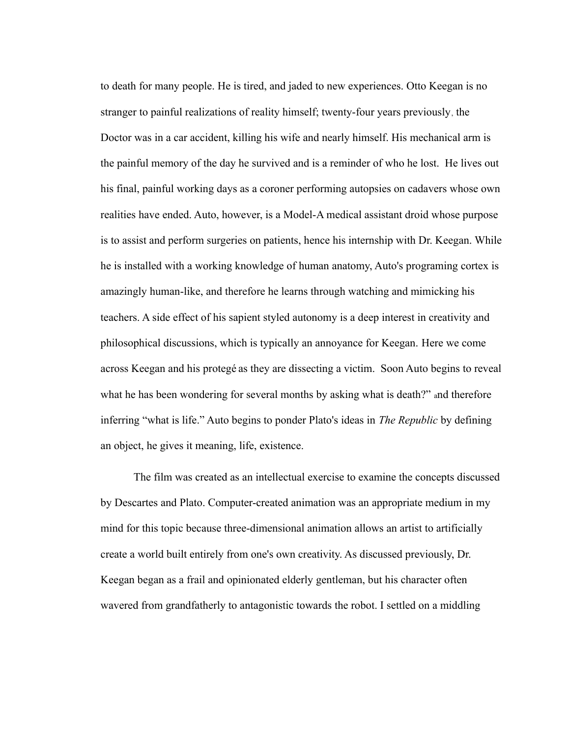to death for many people. He is tired, and jaded to new experiences. Otto Keegan is no stranger to painful realizations of reality himself; twenty-four years previously, the Doctor was in a car accident, killing his wife and nearly himself. His mechanical arm is the painful memory of the day he survived and is a reminder of who he lost. He lives out his final, painful working days as a coroner performing autopsies on cadavers whose own realities have ended. Auto, however, is a Model-A medical assistant droid whose purpose is to assist and perform surgeries on patients, hence his internship with Dr. Keegan. While he is installed with a working knowledge of human anatomy, Auto's programing cortex is amazingly human-like, and therefore he learns through watching and mimicking his teachers. A side effect of his sapient styled autonomy is a deep interest in creativity and philosophical discussions, which is typically an annoyance for Keegan. Here we come across Keegan and his protegé as they are dissecting a victim. Soon Auto begins to reveal what he has been wondering for several months by asking what is death?" and therefore inferring "what is life." Auto begins to ponder Plato's ideas in *The Republic* by defining an object, he gives it meaning, life, existence.

The film was created as an intellectual exercise to examine the concepts discussed by Descartes and Plato. Computer-created animation was an appropriate medium in my mind for this topic because three-dimensional animation allows an artist to artificially create a world built entirely from one's own creativity. As discussed previously, Dr. Keegan began as a frail and opinionated elderly gentleman, but his character often wavered from grandfatherly to antagonistic towards the robot. I settled on a middling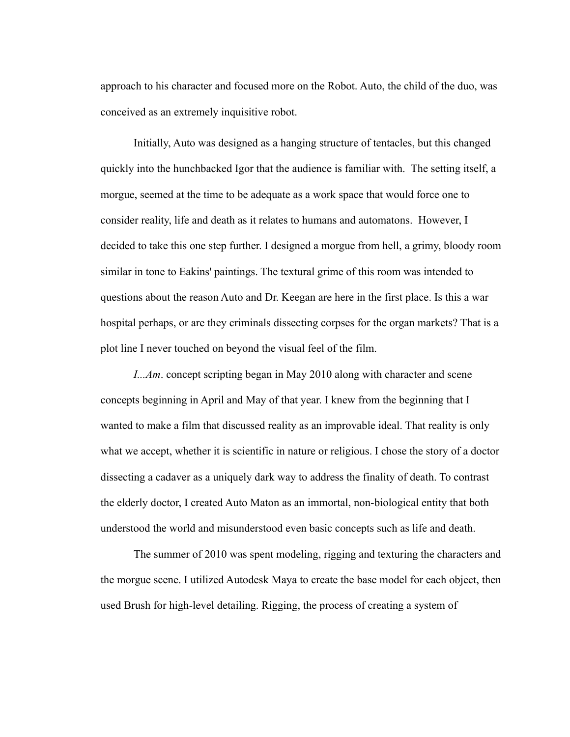approach to his character and focused more on the Robot. Auto, the child of the duo, was conceived as an extremely inquisitive robot.

Initially, Auto was designed as a hanging structure of tentacles, but this changed quickly into the hunchbacked Igor that the audience is familiar with. The setting itself, a morgue, seemed at the time to be adequate as a work space that would force one to consider reality, life and death as it relates to humans and automatons. However, I decided to take this one step further. I designed a morgue from hell, a grimy, bloody room similar in tone to Eakins' paintings. The textural grime of this room was intended to questions about the reason Auto and Dr. Keegan are here in the first place. Is this a war hospital perhaps, or are they criminals dissecting corpses for the organ markets? That is a plot line I never touched on beyond the visual feel of the film.

*I...Am*. concept scripting began in May 2010 along with character and scene concepts beginning in April and May of that year. I knew from the beginning that I wanted to make a film that discussed reality as an improvable ideal. That reality is only what we accept, whether it is scientific in nature or religious. I chose the story of a doctor dissecting a cadaver as a uniquely dark way to address the finality of death. To contrast the elderly doctor, I created Auto Maton as an immortal, non-biological entity that both understood the world and misunderstood even basic concepts such as life and death.

The summer of 2010 was spent modeling, rigging and texturing the characters and the morgue scene. I utilized Autodesk Maya to create the base model for each object, then used Brush for high-level detailing. Rigging, the process of creating a system of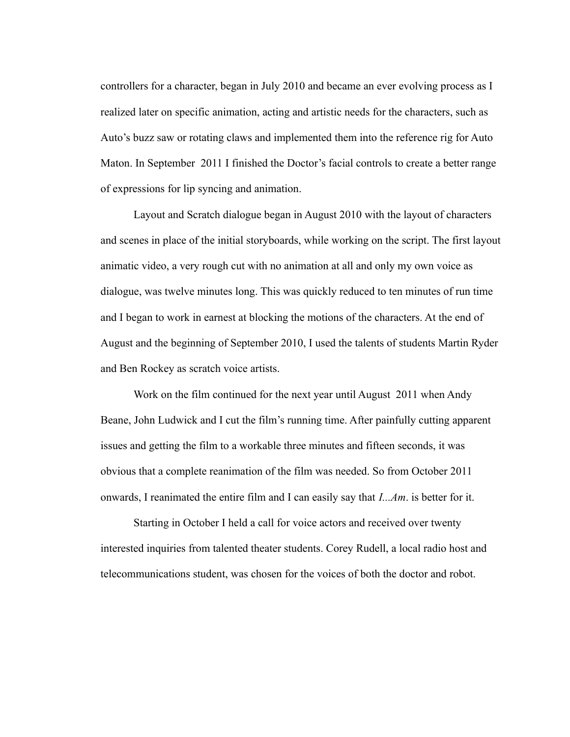controllers for a character, began in July 2010 and became an ever evolving process as I realized later on specific animation, acting and artistic needs for the characters, such as Auto's buzz saw or rotating claws and implemented them into the reference rig for Auto Maton. In September 2011 I finished the Doctor's facial controls to create a better range of expressions for lip syncing and animation.

Layout and Scratch dialogue began in August 2010 with the layout of characters and scenes in place of the initial storyboards, while working on the script. The first layout animatic video, a very rough cut with no animation at all and only my own voice as dialogue, was twelve minutes long. This was quickly reduced to ten minutes of run time and I began to work in earnest at blocking the motions of the characters. At the end of August and the beginning of September 2010, I used the talents of students Martin Ryder and Ben Rockey as scratch voice artists.

Work on the film continued for the next year until August 2011 when Andy Beane, John Ludwick and I cut the film's running time. After painfully cutting apparent issues and getting the film to a workable three minutes and fifteen seconds, it was obvious that a complete reanimation of the film was needed. So from October 2011 onwards, I reanimated the entire film and I can easily say that *I...Am*. is better for it.

Starting in October I held a call for voice actors and received over twenty interested inquiries from talented theater students. Corey Rudell, a local radio host and telecommunications student, was chosen for the voices of both the doctor and robot.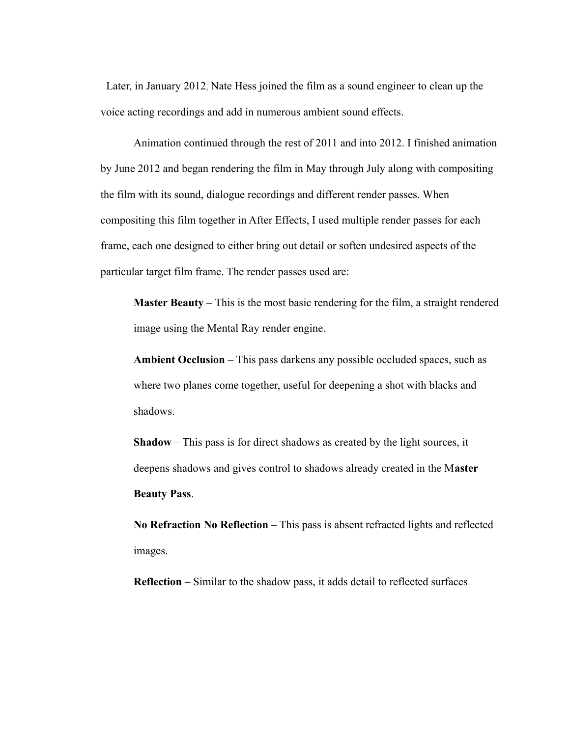Later, in January 2012, Nate Hess joined the film as a sound engineer to clean up the voice acting recordings and add in numerous ambient sound effects.

Animation continued through the rest of 2011 and into 2012. I finished animation by June 2012 and began rendering the film in May through July along with compositing the film with its sound, dialogue recordings and different render passes. When compositing this film together in After Effects, I used multiple render passes for each frame, each one designed to either bring out detail or soften undesired aspects of the particular target film frame. The render passes used are:

**Master Beauty** – This is the most basic rendering for the film, a straight rendered image using the Mental Ray render engine.

**Ambient Occlusion** – This pass darkens any possible occluded spaces, such as where two planes come together, useful for deepening a shot with blacks and shadows.

**Shadow** – This pass is for direct shadows as created by the light sources, it deepens shadows and gives control to shadows already created in the M**aster Beauty Pass**.

**No Refraction No Reflection** – This pass is absent refracted lights and reflected images.

**Reflection** – Similar to the shadow pass, it adds detail to reflected surfaces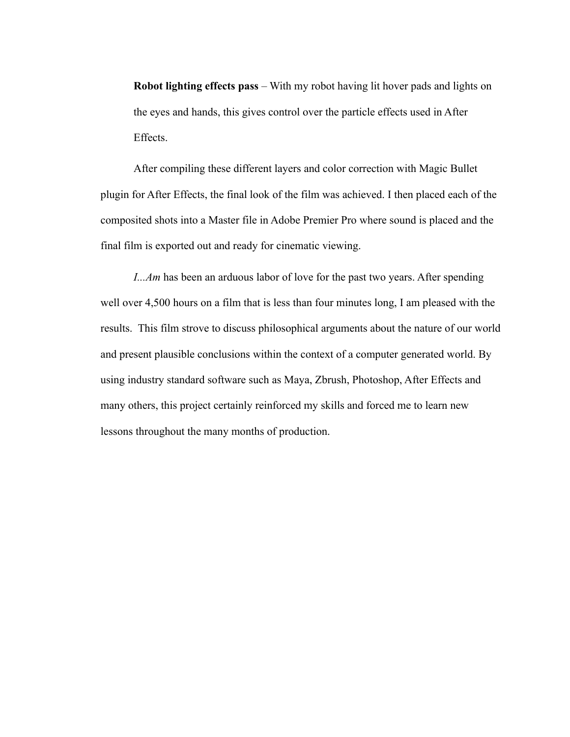**Robot lighting effects pass** – With my robot having lit hover pads and lights on the eyes and hands, this gives control over the particle effects used in After Effects.

After compiling these different layers and color correction with Magic Bullet plugin for After Effects, the final look of the film was achieved. I then placed each of the composited shots into a Master file in Adobe Premier Pro where sound is placed and the final film is exported out and ready for cinematic viewing.

*I...Am* has been an arduous labor of love for the past two years. After spending well over 4,500 hours on a film that is less than four minutes long, I am pleased with the results. This film strove to discuss philosophical arguments about the nature of our world and present plausible conclusions within the context of a computer generated world. By using industry standard software such as Maya, Zbrush, Photoshop, After Effects and many others, this project certainly reinforced my skills and forced me to learn new lessons throughout the many months of production.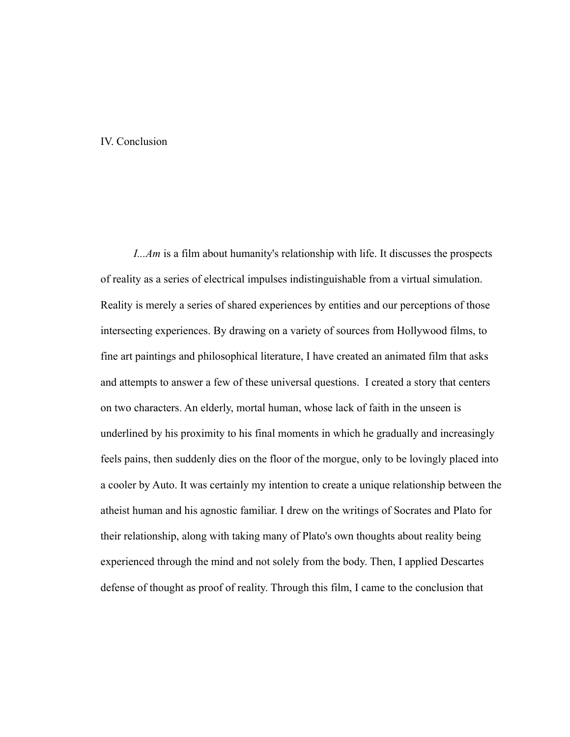#### IV. Conclusion

*I...Am* is a film about humanity's relationship with life. It discusses the prospects of reality as a series of electrical impulses indistinguishable from a virtual simulation. Reality is merely a series of shared experiences by entities and our perceptions of those intersecting experiences. By drawing on a variety of sources from Hollywood films, to fine art paintings and philosophical literature, I have created an animated film that asks and attempts to answer a few of these universal questions. I created a story that centers on two characters. An elderly, mortal human, whose lack of faith in the unseen is underlined by his proximity to his final moments in which he gradually and increasingly feels pains, then suddenly dies on the floor of the morgue, only to be lovingly placed into a cooler by Auto. It was certainly my intention to create a unique relationship between the atheist human and his agnostic familiar. I drew on the writings of Socrates and Plato for their relationship, along with taking many of Plato's own thoughts about reality being experienced through the mind and not solely from the body. Then, I applied Descartes defense of thought as proof of reality. Through this film, I came to the conclusion that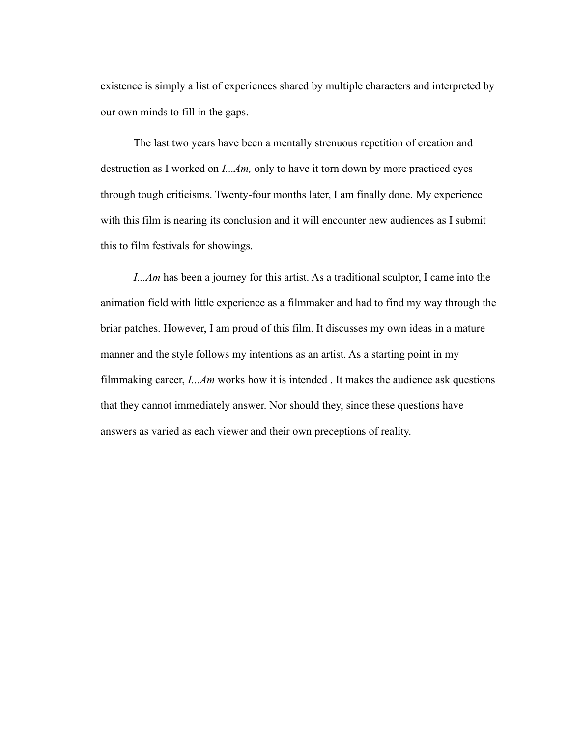existence is simply a list of experiences shared by multiple characters and interpreted by our own minds to fill in the gaps.

The last two years have been a mentally strenuous repetition of creation and destruction as I worked on *I...Am,* only to have it torn down by more practiced eyes through tough criticisms. Twenty-four months later, I am finally done. My experience with this film is nearing its conclusion and it will encounter new audiences as I submit this to film festivals for showings.

*I...Am* has been a journey for this artist. As a traditional sculptor, I came into the animation field with little experience as a filmmaker and had to find my way through the briar patches. However, I am proud of this film. It discusses my own ideas in a mature manner and the style follows my intentions as an artist. As a starting point in my filmmaking career, *I...Am* works how it is intended . It makes the audience ask questions that they cannot immediately answer. Nor should they, since these questions have answers as varied as each viewer and their own preceptions of reality.